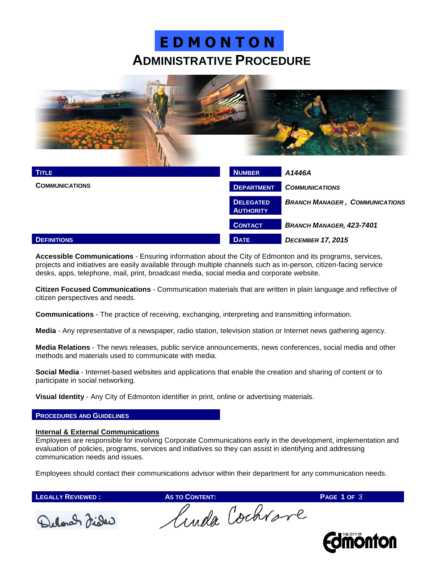## **ADMINISTRATIVE PROCEDURE E D M O N T O N**



| <b>TITLE</b>          | <b>NUMBER</b>                        | A1446A                                |  |
|-----------------------|--------------------------------------|---------------------------------------|--|
| <b>COMMUNICATIONS</b> | <b>DEPARTMENT</b>                    | <b>COMMUNICATIONS</b>                 |  |
|                       | <b>DELEGATED</b><br><b>AUTHORITY</b> | <b>BRANCH MANAGER, COMMUNICATIONS</b> |  |
|                       | <b>CONTACT</b>                       | <b>BRANCH MANAGER, 423-7401</b>       |  |
| <b>DEFINITIONS</b>    | <b>DATE</b>                          | <b>DECEMBER 17, 2015</b>              |  |

**Accessible Communications** - Ensuring information about the City of Edmonton and its programs, services, projects and initiatives are easily available through multiple channels such as in-person, citizen-facing service desks, apps, telephone, mail, print, broadcast media, social media and corporate website.

**Citizen Focused Communications** - Communication materials that are written in plain language and reflective of citizen perspectives and needs.

**Communications** - The practice of receiving, exchanging, interpreting and transmitting information.

**Media** - Any representative of a newspaper, radio station, television station or Internet news gathering agency.

**Media Relations** - The news releases, public service announcements, news conferences, social media and other methods and materials used to communicate with media.

**Social Media** - Internet-based websites and applications that enable the creation and sharing of content or to participate in social networking.

**Visual Identity** - Any City of Edmonton identifier in print, online or advertising materials.

#### **PROCEDURES AND GUIDELINES**

### **Internal & External Communications**

Employees are responsible for involving Corporate Communications early in the development, implementation and evaluation of policies, programs, services and initiatives so they can assist in identifying and addressing communication needs and issues.

Employees should contact their communications advisor within their department for any communication needs.



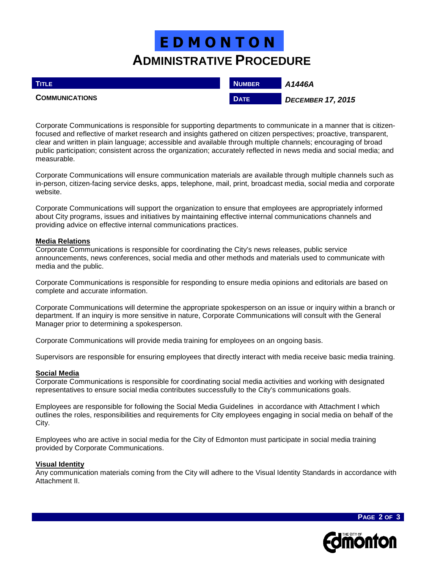## **ADMINISTRATIVE PROCEDURE E D M O N T O N**

| <b>TITLE</b>          | <b>NUMBER</b> | A1446A                   |
|-----------------------|---------------|--------------------------|
| <b>COMMUNICATIONS</b> | <b>DATE</b>   | <b>DECEMBER 17, 2015</b> |

Corporate Communications is responsible for supporting departments to communicate in a manner that is citizenfocused and reflective of market research and insights gathered on citizen perspectives; proactive, transparent, clear and written in plain language; accessible and available through multiple channels; encouraging of broad public participation; consistent across the organization; accurately reflected in news media and social media; and measurable.

Corporate Communications will ensure communication materials are available through multiple channels such as in-person, citizen-facing service desks, apps, telephone, mail, print, broadcast media, social media and corporate website.

Corporate Communications will support the organization to ensure that employees are appropriately informed about City programs, issues and initiatives by maintaining effective internal communications channels and providing advice on effective internal communications practices.

## **Media Relations**

Corporate Communications is responsible for coordinating the City's news releases, public service announcements, news conferences, social media and other methods and materials used to communicate with media and the public.

Corporate Communications is responsible for responding to ensure media opinions and editorials are based on complete and accurate information.

Corporate Communications will determine the appropriate spokesperson on an issue or inquiry within a branch or department. If an inquiry is more sensitive in nature, Corporate Communications will consult with the General Manager prior to determining a spokesperson.

Corporate Communications will provide media training for employees on an ongoing basis.

Supervisors are responsible for ensuring employees that directly interact with media receive basic media training.

## **Social Media**

Corporate Communications is responsible for coordinating social media activities and working with designated representatives to ensure social media contributes successfully to the City's communications goals.

Employees are responsible for following the Social Media Guidelines in accordance with Attachment I which outlines the roles, responsibilities and requirements for City employees engaging in social media on behalf of the City.

Employees who are active in social media for the City of Edmonton must participate in social media training provided by Corporate Communications.

### **Visual Identity**

Any communication materials coming from the City will adhere to the Visual Identity Standards in accordance with Attachment II.